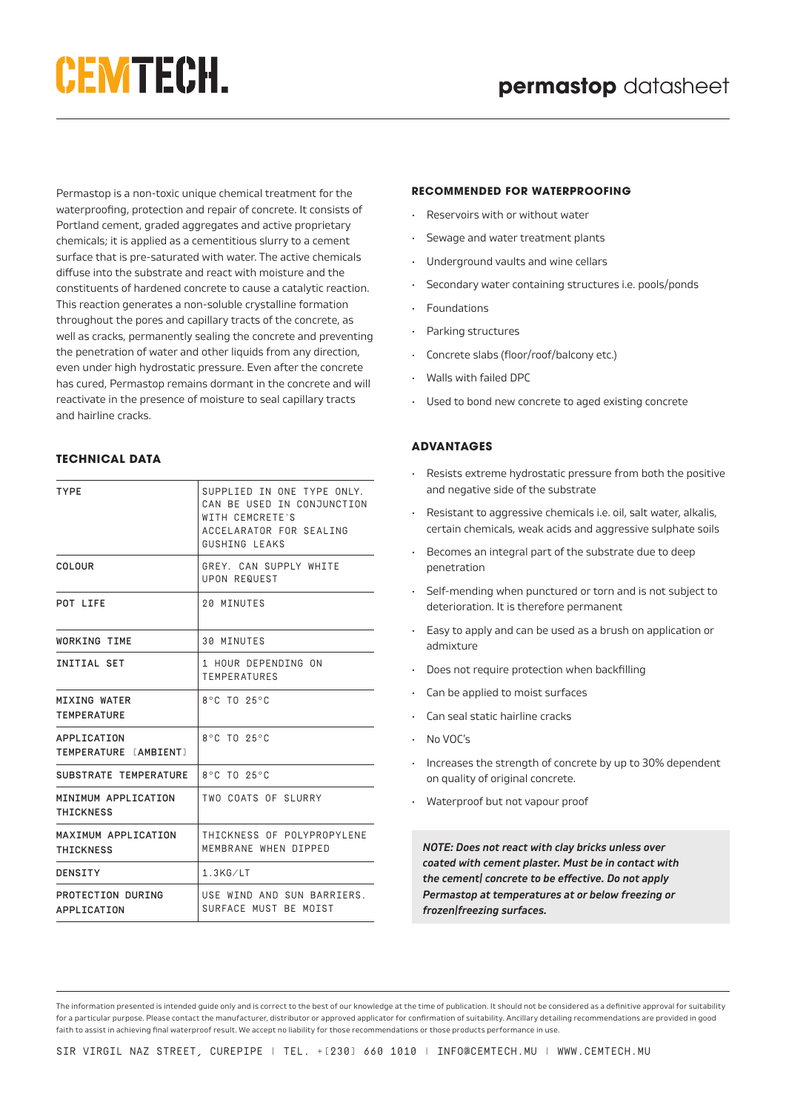# **CEMTECH.**

Permastop is a non-toxic unique chemical treatment for the waterproofing, protection and repair of concrete. It consists of Portland cement, graded aggregates and active proprietary chemicals; it is applied as a cementitious slurry to a cement surface that is pre-saturated with water. The active chemicals diffuse into the substrate and react with moisture and the constituents of hardened concrete to cause a catalytic reaction. This reaction generates a non-soluble crystalline formation throughout the pores and capillary tracts of the concrete, as well as cracks, permanently sealing the concrete and preventing the penetration of water and other liquids from any direction, even under high hydrostatic pressure. Even after the concrete has cured, Permastop remains dormant in the concrete and will reactivate in the presence of moisture to seal capillary tracts and hairline cracks.

# **TECHNICAL DATA**

| <b>TYPE</b>                             | SUPPLIED IN ONE TYPE ONLY.<br>CAN BE USED IN CONJUNCTION<br>WITH CEMCRETE'S<br>ACCELARATOR FOR SEALING<br>GUSHING LEAKS |
|-----------------------------------------|-------------------------------------------------------------------------------------------------------------------------|
| COLOUR                                  | GREY, CAN SUPPLY WHITE<br><b>UPON REQUEST</b>                                                                           |
| POT LIFE                                | 20 MINUTES                                                                                                              |
| <b>WORKING TIME</b>                     | <b>30 MINUTES</b>                                                                                                       |
| INITIAL SET                             | 1 HOUR DEPENDING ON<br><b>TEMPERATURES</b>                                                                              |
| MIXING WATER<br><b>TEMPERATURE</b>      | 8°C TO 25°C                                                                                                             |
| APPLICATION<br>TEMPERATURE [AMBIENT]    | 8°C TO 25°C                                                                                                             |
| SUBSTRATE TEMPERATURE                   | $8^{\circ}$ C TO $25^{\circ}$ C                                                                                         |
| MINIMUM APPLICATION<br><b>THICKNESS</b> | TWO COATS OF SLURRY                                                                                                     |
| MAXIMUM APPLICATION<br>THICKNESS        | THICKNESS OF POLYPROPYLENE<br>MEMBRANE WHEN DIPPED                                                                      |
| <b>DENSITY</b>                          | $1.3$ $K$ $G$ $/L$ T                                                                                                    |
| PROTECTION DURING<br>APPLICATION        | USE WIND AND SUN BARRIERS.<br>SURFACE MUST BE MOIST                                                                     |

#### *RECOMMENDED FOR WATERPROOFING*

- Reservoirs with or without water
- Sewage and water treatment plants
- Underground vaults and wine cellars
- Secondary water containing structures i.e. pools/ponds
- **Foundations**
- Parking structures
- Concrete slabs (floor/roof/balcony etc.)
- Walls with failed DPC
- Used to bond new concrete to aged existing concrete

## **ADVANTAGES**

- Resists extreme hydrostatic pressure from both the positive and negative side of the substrate
- Resistant to aggressive chemicals i.e. oil, salt water, alkalis, certain chemicals, weak acids and aggressive sulphate soils
- Becomes an integral part of the substrate due to deep penetration
- Self-mending when punctured or torn and is not subject to deterioration. It is therefore permanent
- Easy to apply and can be used as a brush on application or admixture
- Does not require protection when backfilling
- Can be applied to moist surfaces
- Can seal static hairline cracks
- No VOC's
- Increases the strength of concrete by up to 30% dependent on quality of original concrete.
- Waterproof but not vapour proof

*NOTE: Does not react with clay bricks unless over coated with cement plaster. Must be in contact with the cement/ concrete to be effective. Do not apply Permastop at temperatures at or below freezing or frozen/freezing surfaces.*

The information presented is intended guide only and is correct to the best of our knowledge at the time of publication. It should not be considered as a definitive approval for suitability for a particular purpose. Please contact the manufacturer, distributor or approved applicator for confirmation of suitability. Ancillary detailing recommendations are provided in good faith to assist in achieving final waterproof result. We accept no liability for those recommendations or those products performance in use.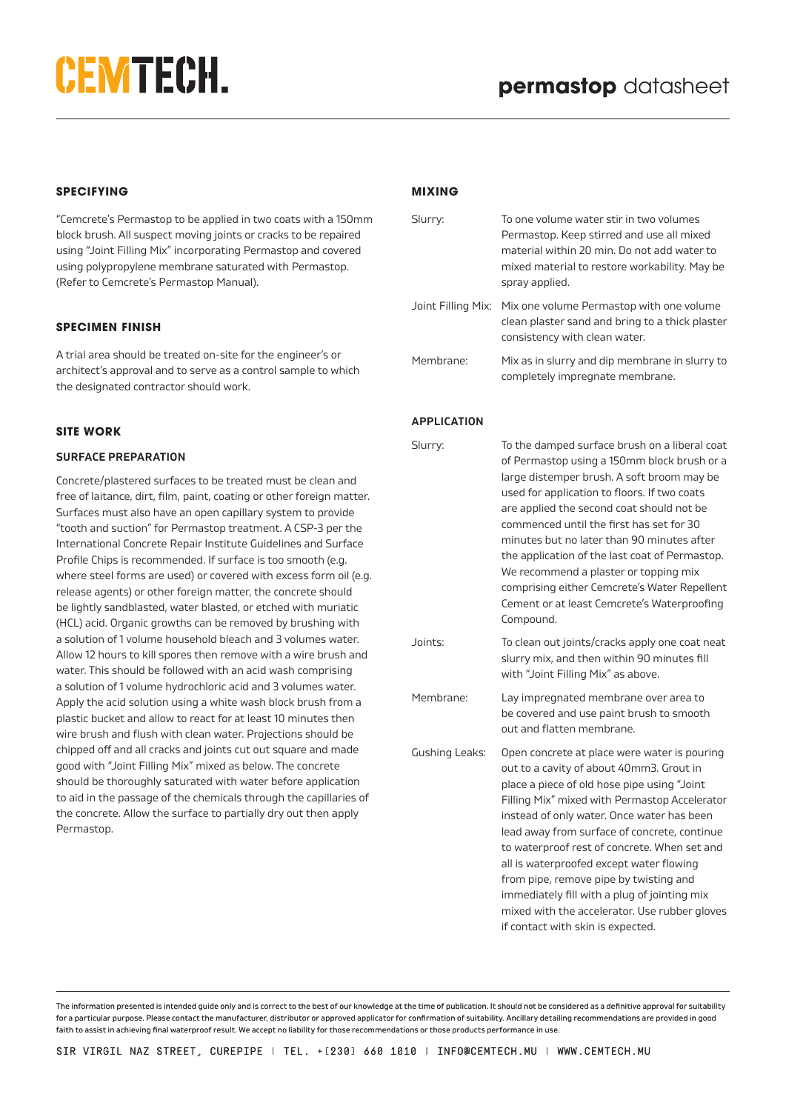# **CEMTECH.**

## **SPECIFYING**

"Cemcrete's Permastop to be applied in two coats with a 150mm block brush. All suspect moving joints or cracks to be repaired using "Joint Filling Mix" incorporating Permastop and covered using polypropylene membrane saturated with Permastop. (Refer to Cemcrete's Permastop Manual).

## **SPECIMEN FINISH**

A trial area should be treated on-site for the engineer's or architect's approval and to serve as a control sample to which the designated contractor should work.

## **SITE WORK**

#### **SURFACE PREPARATION**

Concrete/plastered surfaces to be treated must be clean and free of laitance, dirt, film, paint, coating or other foreign matter. Surfaces must also have an open capillary system to provide "tooth and suction" for Permastop treatment. A CSP-3 per the International Concrete Repair Institute Guidelines and Surface Profile Chips is recommended. If surface is too smooth (e.g. where steel forms are used) or covered with excess form oil (e.g. release agents) or other foreign matter, the concrete should be lightly sandblasted, water blasted, or etched with muriatic (HCL) acid. Organic growths can be removed by brushing with a solution of 1 volume household bleach and 3 volumes water. Allow 12 hours to kill spores then remove with a wire brush and water. This should be followed with an acid wash comprising a solution of 1 volume hydrochloric acid and 3 volumes water. Apply the acid solution using a white wash block brush from a plastic bucket and allow to react for at least 10 minutes then wire brush and flush with clean water. Projections should be chipped off and all cracks and joints cut out square and made good with "Joint Filling Mix" mixed as below. The concrete should be thoroughly saturated with water before application to aid in the passage of the chemicals through the capillaries of the concrete. Allow the surface to partially dry out then apply Permastop.

#### **MIXING**

| Slurry:            | To one volume water stir in two volumes<br>Permastop. Keep stirred and use all mixed<br>material within 20 min. Do not add water to<br>mixed material to restore workability. May be<br>spray applied.                                                                                                                                                                                                                                                                                                                                                             |
|--------------------|--------------------------------------------------------------------------------------------------------------------------------------------------------------------------------------------------------------------------------------------------------------------------------------------------------------------------------------------------------------------------------------------------------------------------------------------------------------------------------------------------------------------------------------------------------------------|
| Joint Filling Mix: | Mix one volume Permastop with one volume<br>clean plaster sand and bring to a thick plaster<br>consistency with clean water.                                                                                                                                                                                                                                                                                                                                                                                                                                       |
| Membrane:          | Mix as in slurry and dip membrane in slurry to<br>completely impregnate membrane.                                                                                                                                                                                                                                                                                                                                                                                                                                                                                  |
| <b>APPLICATION</b> |                                                                                                                                                                                                                                                                                                                                                                                                                                                                                                                                                                    |
| Slurry:            | To the damped surface brush on a liberal coat<br>of Permastop using a 150mm block brush or a<br>large distemper brush. A soft broom may be<br>used for application to floors. If two coats<br>are applied the second coat should not be<br>commenced until the first has set for 30<br>minutes but no later than 90 minutes after<br>the application of the last coat of Permastop.<br>We recommend a plaster or topping mix<br>comprising either Cemcrete's Water Repellent<br>Cement or at least Cemcrete's Waterproofing<br>Compound.                           |
| Joints:            | To clean out joints/cracks apply one coat neat<br>slurry mix, and then within 90 minutes fill<br>with "Joint Filling Mix" as above.                                                                                                                                                                                                                                                                                                                                                                                                                                |
| Membrane:          | Lay impregnated membrane over area to<br>be covered and use paint brush to smooth<br>out and flatten membrane.                                                                                                                                                                                                                                                                                                                                                                                                                                                     |
| Gushing Leaks:     | Open concrete at place were water is pouring<br>out to a cavity of about 40mm3. Grout in<br>place a piece of old hose pipe using "Joint<br>Filling Mix" mixed with Permastop Accelerator<br>instead of only water. Once water has been<br>lead away from surface of concrete, continue<br>to waterproof rest of concrete. When set and<br>all is waterproofed except water flowing<br>from pipe, remove pipe by twisting and<br>immediately fill with a plug of jointing mix<br>mixed with the accelerator. Use rubber gloves<br>if contact with skin is expected. |

The information presented is intended guide only and is correct to the best of our knowledge at the time of publication. It should not be considered as a definitive approval for suitability for a particular purpose. Please contact the manufacturer, distributor or approved applicator for confirmation of suitability. Ancillary detailing recommendations are provided in good faith to assist in achieving final waterproof result. We accept no liability for those recommendations or those products performance in use.